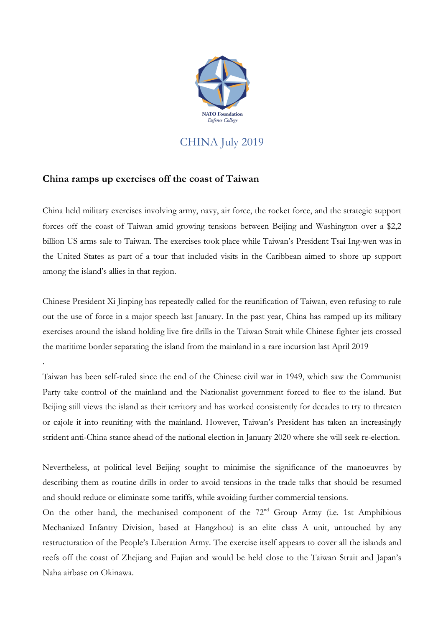

CHINA July 2019

## **China ramps up exercises off the coast of Taiwan**

.

China held military exercises involving army, navy, air force, the rocket force, and the strategic support forces off the coast of Taiwan amid growing tensions between Beijing and Washington over a \$2,2 billion US arms sale to Taiwan. The exercises took place while Taiwan's President Tsai Ing-wen was in the United States as part of a tour that included visits in the Caribbean aimed to shore up support among the island's allies in that region.

Chinese President Xi Jinping has repeatedly called for the reunification of Taiwan, even refusing to rule out the use of force in a major speech last January. In the past year, China has ramped up its military exercises around the island holding live fire drills in the Taiwan Strait while Chinese fighter jets crossed the maritime border separating the island from the mainland in a rare incursion last April 2019

Taiwan has been self-ruled since the end of the Chinese civil war in 1949, which saw the Communist Party take control of the mainland and the Nationalist government forced to flee to the island. But Beijing still views the island as their territory and has worked consistently for decades to try to threaten or cajole it into reuniting with the mainland. However, Taiwan's President has taken an increasingly strident anti-China stance ahead of the national election in January 2020 where she will seek re-election.

Nevertheless, at political level Beijing sought to minimise the significance of the manoeuvres by describing them as routine drills in order to avoid tensions in the trade talks that should be resumed and should reduce or eliminate some tariffs, while avoiding further commercial tensions.

On the other hand, the mechanised component of the  $72<sup>nd</sup>$  Group Army (i.e. 1st Amphibious Mechanized Infantry Division, based at Hangzhou) is an elite class A unit, untouched by any restructuration of the People's Liberation Army. The exercise itself appears to cover all the islands and reefs off the coast of Zhejiang and Fujian and would be held close to the Taiwan Strait and Japan's Naha airbase on Okinawa.